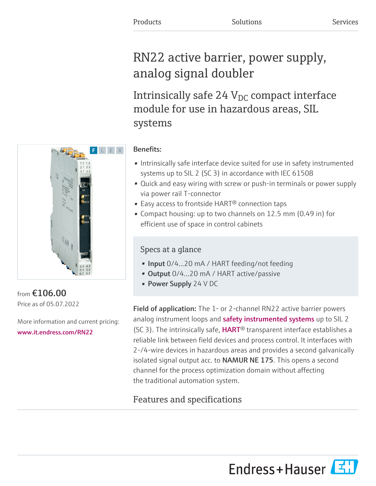# RN22 active barrier, power supply, analog signal doubler

Intrinsically safe 24  $\rm V_{DC}$  compact interface module for use in hazardous areas, SIL systems



### from €106.00 Price as of 05.07.2022

More information and current pricing: [www.it.endress.com/RN22](https://www.it.endress.com/RN22)

### Benefits:

- Intrinsically safe interface device suited for use in safety instrumented systems up to SIL 2 (SC 3) in accordance with IEC 61508
- Quick and easy wiring with screw or push-in terminals or power supply via power rail T-connector
- Easy access to frontside HART<sup>®</sup> connection taps
- Compact housing: up to two channels on 12.5 mm (0.49 in) for efficient use of space in control cabinets

## Specs at a glance

- Input 0/4...20 mA / HART feeding/not feeding
- Output 0/4...20 mA / HART active/passive
- Power Supply 24 V DC

Field of application: The 1- or 2-channel RN22 active barrier powers analoginstrument loops and **safety instrumented systems** up to SIL 2 (SC 3). The intrinsically safe,  $HART^{\odot}$  transparent interface establishes a reliable link between field devices and process control. It interfaces with 2-/4-wire devices in hazardous areas and provides a second galvanically isolated signal output acc. to NAMUR NE 175. This opens a second channel for the process optimization domain without affecting the traditional automation system.

# Features and specifications

Endress+Hauser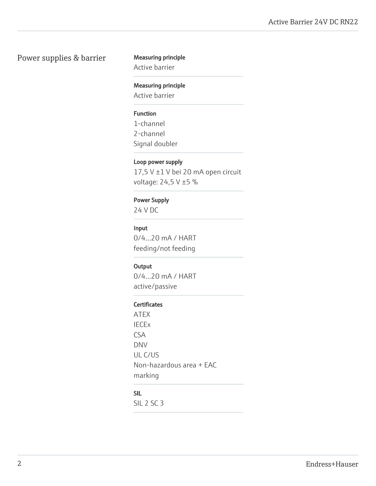#### Power supplies & barrier Measuring principle

Active barrier

#### Measuring principle

Active barrier

#### Function

1-channel 2-channel Signal doubler

#### Loop power supply

17,5 V ±1 V bei 20 mA open circuit voltage: 24,5 V ±5 %

#### Power Supply

24 V DC

#### Input

0/4…20 mA / HART feeding/not feeding

#### **Output**

0/4…20 mA / HART active/passive

#### **Certificates**

ATEX IECEx CSA DNV UL C/US Non-hazardous area + EAC marking

#### SIL

SIL 2 SC 3